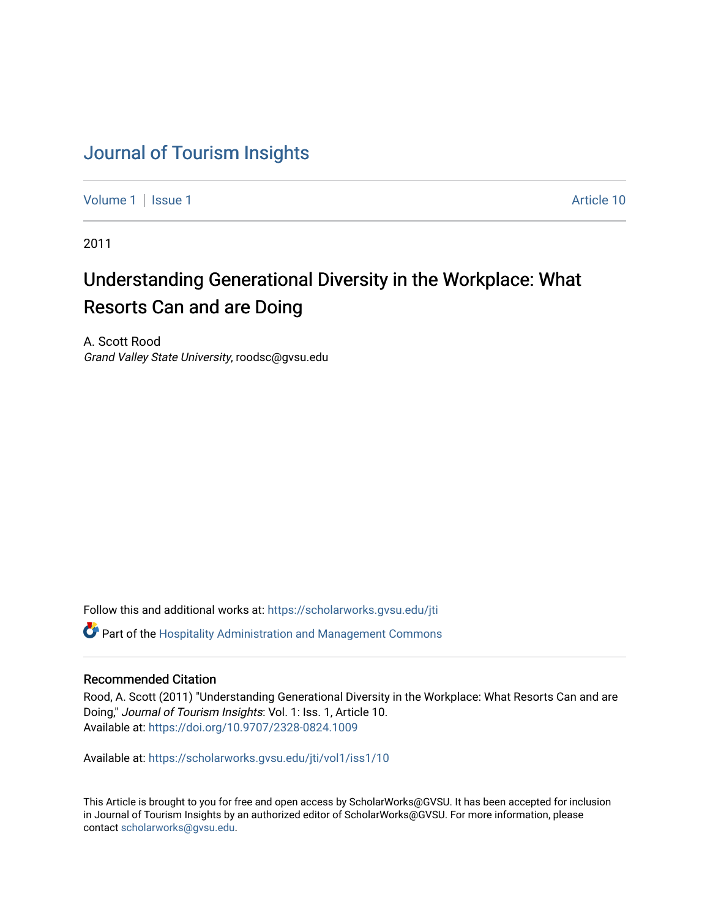# [Journal of Tourism Insights](https://scholarworks.gvsu.edu/jti)

[Volume 1](https://scholarworks.gvsu.edu/jti/vol1) | [Issue 1](https://scholarworks.gvsu.edu/jti/vol1/iss1) Article 10

2011

# Understanding Generational Diversity in the Workplace: What Resorts Can and are Doing

A. Scott Rood Grand Valley State University, roodsc@gvsu.edu

Follow this and additional works at: [https://scholarworks.gvsu.edu/jti](https://scholarworks.gvsu.edu/jti?utm_source=scholarworks.gvsu.edu%2Fjti%2Fvol1%2Fiss1%2F10&utm_medium=PDF&utm_campaign=PDFCoverPages) 

 $\bullet$  Part of the Hospitality Administration and Management Commons

## Recommended Citation

Rood, A. Scott (2011) "Understanding Generational Diversity in the Workplace: What Resorts Can and are Doing," Journal of Tourism Insights: Vol. 1: Iss. 1, Article 10. Available at:<https://doi.org/10.9707/2328-0824.1009>

Available at: [https://scholarworks.gvsu.edu/jti/vol1/iss1/10](https://scholarworks.gvsu.edu/jti/vol1/iss1/10?utm_source=scholarworks.gvsu.edu%2Fjti%2Fvol1%2Fiss1%2F10&utm_medium=PDF&utm_campaign=PDFCoverPages) 

This Article is brought to you for free and open access by ScholarWorks@GVSU. It has been accepted for inclusion in Journal of Tourism Insights by an authorized editor of ScholarWorks@GVSU. For more information, please contact [scholarworks@gvsu.edu.](mailto:scholarworks@gvsu.edu)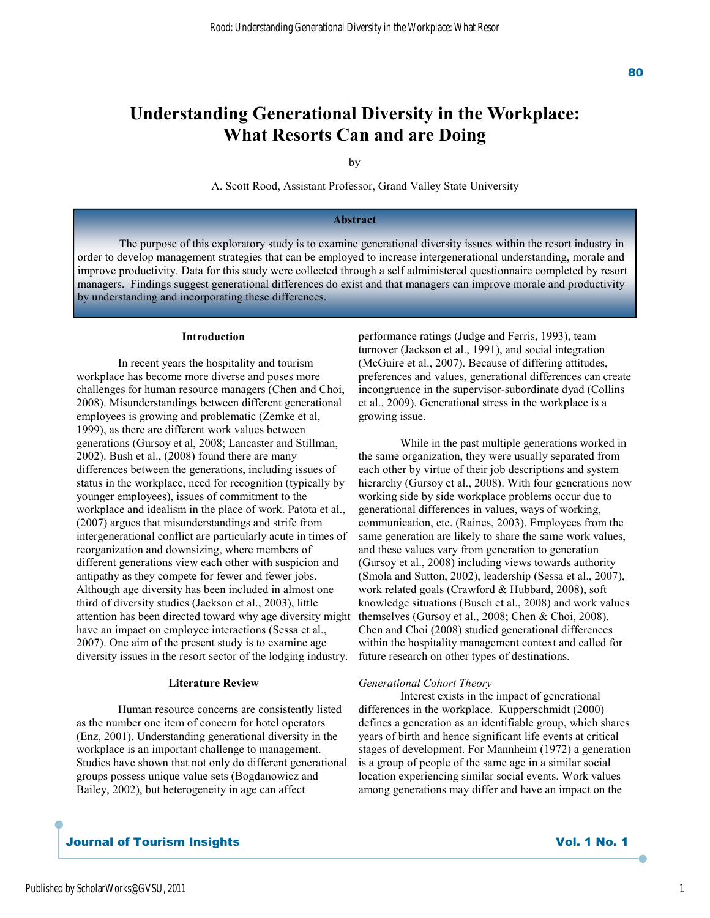# **Understanding Generational Diversity in the Workplace: What Resorts Can and are Doing**

by

A. Scott Rood, Assistant Professor, Grand Valley State University

#### **Abstract**

 The purpose of this exploratory study is to examine generational diversity issues within the resort industry in order to develop management strategies that can be employed to increase intergenerational understanding, morale and improve productivity. Data for this study were collected through a self administered questionnaire completed by resort managers. Findings suggest generational differences do exist and that managers can improve morale and productivity by understanding and incorporating these differences.

#### **Introduction**

 In recent years the hospitality and tourism workplace has become more diverse and poses more challenges for human resource managers (Chen and Choi, 2008). Misunderstandings between different generational employees is growing and problematic (Zemke et al, 1999), as there are different work values between generations (Gursoy et al, 2008; Lancaster and Stillman, 2002). Bush et al., (2008) found there are many differences between the generations, including issues of status in the workplace, need for recognition (typically by younger employees), issues of commitment to the workplace and idealism in the place of work. Patota et al., (2007) argues that misunderstandings and strife from intergenerational conflict are particularly acute in times of reorganization and downsizing, where members of different generations view each other with suspicion and antipathy as they compete for fewer and fewer jobs. Although age diversity has been included in almost one third of diversity studies (Jackson et al., 2003), little attention has been directed toward why age diversity might have an impact on employee interactions (Sessa et al., 2007). One aim of the present study is to examine age diversity issues in the resort sector of the lodging industry.

#### **Literature Review**

 Human resource concerns are consistently listed as the number one item of concern for hotel operators (Enz, 2001). Understanding generational diversity in the workplace is an important challenge to management. Studies have shown that not only do different generational groups possess unique value sets (Bogdanowicz and Bailey, 2002), but heterogeneity in age can affect

## Journal of Tourism Insight s Vol. 1 No. 1

performance ratings (Judge and Ferris, 1993), team turnover (Jackson et al., 1991), and social integration (McGuire et al., 2007). Because of differing attitudes, preferences and values, generational differences can create incongruence in the supervisor-subordinate dyad (Collins et al., 2009). Generational stress in the workplace is a growing issue.

 While in the past multiple generations worked in the same organization, they were usually separated from each other by virtue of their job descriptions and system hierarchy (Gursoy et al., 2008). With four generations now working side by side workplace problems occur due to generational differences in values, ways of working, communication, etc. (Raines, 2003). Employees from the same generation are likely to share the same work values, and these values vary from generation to generation (Gursoy et al., 2008) including views towards authority (Smola and Sutton, 2002), leadership (Sessa et al., 2007), work related goals (Crawford & Hubbard, 2008), soft knowledge situations (Busch et al., 2008) and work values themselves (Gursoy et al., 2008; Chen & Choi, 2008). Chen and Choi (2008) studied generational differences within the hospitality management context and called for future research on other types of destinations.

#### *Generational Cohort Theory*

 Interest exists in the impact of generational differences in the workplace. Kupperschmidt (2000) defines a generation as an identifiable group, which shares years of birth and hence significant life events at critical stages of development. For Mannheim (1972) a generation is a group of people of the same age in a similar social location experiencing similar social events. Work values among generations may differ and have an impact on the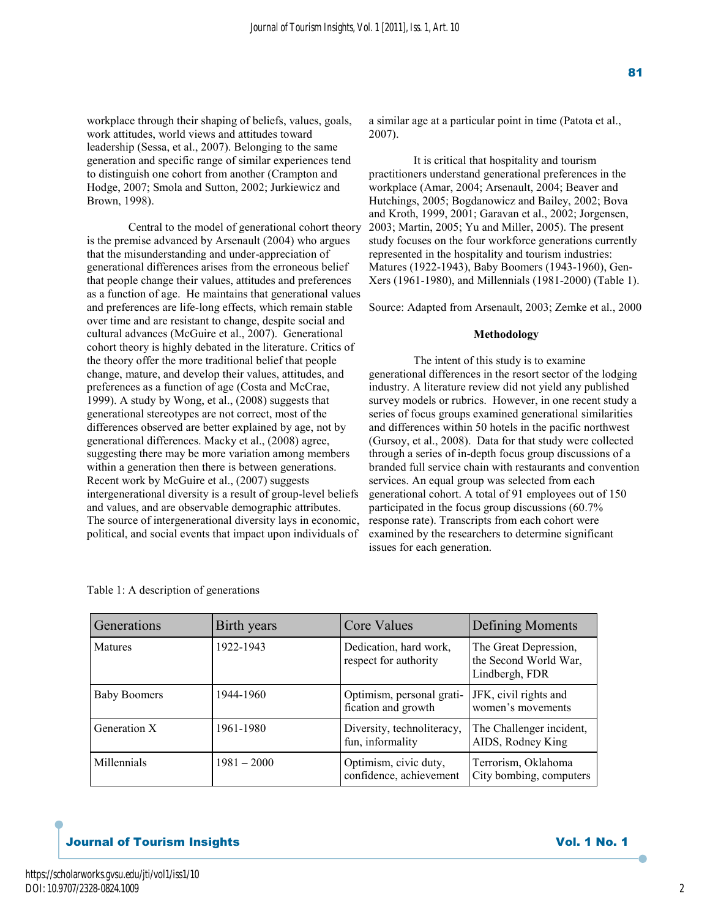workplace through their shaping of beliefs, values, goals, work attitudes, world views and attitudes toward leadership (Sessa, et al., 2007). Belonging to the same generation and specific range of similar experiences tend to distinguish one cohort from another (Crampton and Hodge, 2007; Smola and Sutton, 2002; Jurkiewicz and Brown, 1998).

 Central to the model of generational cohort theory is the premise advanced by Arsenault (2004) who argues that the misunderstanding and under-appreciation of generational differences arises from the erroneous belief that people change their values, attitudes and preferences as a function of age. He maintains that generational values and preferences are life-long effects, which remain stable over time and are resistant to change, despite social and cultural advances (McGuire et al., 2007). Generational cohort theory is highly debated in the literature. Critics of the theory offer the more traditional belief that people change, mature, and develop their values, attitudes, and preferences as a function of age (Costa and McCrae, 1999). A study by Wong, et al., (2008) suggests that generational stereotypes are not correct, most of the differences observed are better explained by age, not by generational differences. Macky et al., (2008) agree, suggesting there may be more variation among members within a generation then there is between generations. Recent work by McGuire et al., (2007) suggests intergenerational diversity is a result of group-level beliefs and values, and are observable demographic attributes. The source of intergenerational diversity lays in economic, political, and social events that impact upon individuals of

a similar age at a particular point in time (Patota et al., 2007).

 It is critical that hospitality and tourism practitioners understand generational preferences in the workplace (Amar, 2004; Arsenault, 2004; Beaver and Hutchings, 2005; Bogdanowicz and Bailey, 2002; Bova and Kroth, 1999, 2001; Garavan et al., 2002; Jorgensen, 2003; Martin, 2005; Yu and Miller, 2005). The present study focuses on the four workforce generations currently represented in the hospitality and tourism industries: Matures (1922-1943), Baby Boomers (1943-1960), Gen-Xers (1961-1980), and Millennials (1981-2000) (Table 1).

Source: Adapted from Arsenault, 2003; Zemke et al., 2000

## **Methodology**

 The intent of this study is to examine generational differences in the resort sector of the lodging industry. A literature review did not yield any published survey models or rubrics. However, in one recent study a series of focus groups examined generational similarities and differences within 50 hotels in the pacific northwest (Gursoy, et al., 2008). Data for that study were collected through a series of in-depth focus group discussions of a branded full service chain with restaurants and convention services. An equal group was selected from each generational cohort. A total of 91 employees out of 150 participated in the focus group discussions (60.7% response rate). Transcripts from each cohort were examined by the researchers to determine significant issues for each generation.

| Generations         | Birth years   | Core Values                                      | Defining Moments                                                 |
|---------------------|---------------|--------------------------------------------------|------------------------------------------------------------------|
| <b>Matures</b>      | 1922-1943     | Dedication, hard work,<br>respect for authority  | The Great Depression,<br>the Second World War,<br>Lindbergh, FDR |
| <b>Baby Boomers</b> | 1944-1960     | Optimism, personal grati-<br>fication and growth | JFK, civil rights and<br>women's movements                       |
| Generation X        | 1961-1980     | Diversity, technoliteracy,<br>fun, informality   | The Challenger incident,<br>AIDS, Rodney King                    |
| Millennials         | $1981 - 2000$ | Optimism, civic duty,<br>confidence, achievement | Terrorism, Oklahoma<br>City bombing, computers                   |

Table 1: A description of generations

## **Journal of Tourism Insights and American Service Structure of Tourism Insights** Vol. 1 No. 1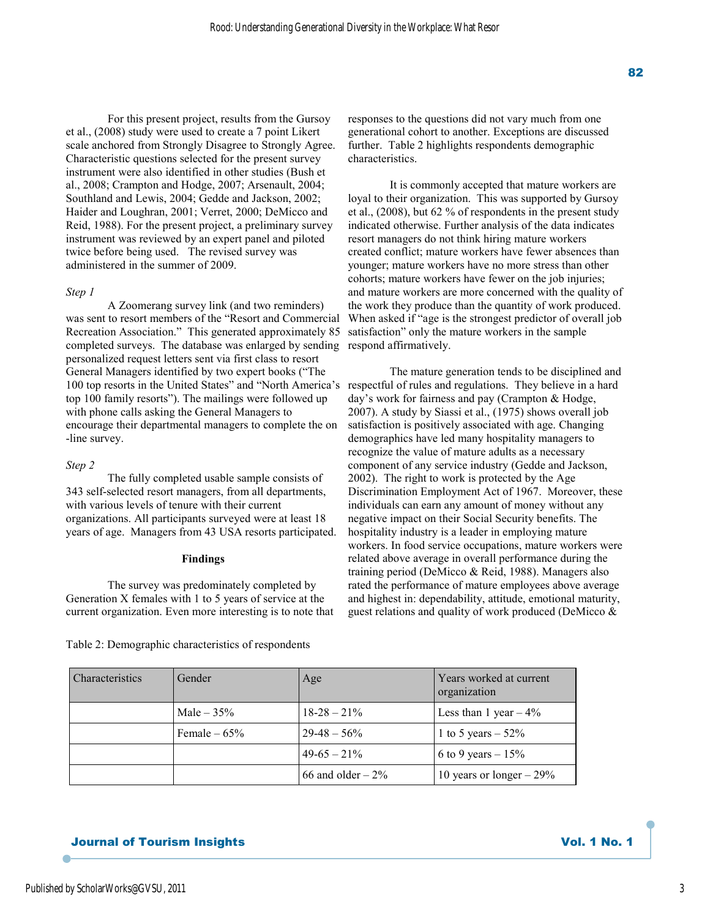For this present project, results from the Gursoy et al., (2008) study were used to create a 7 point Likert scale anchored from Strongly Disagree to Strongly Agree. Characteristic questions selected for the present survey instrument were also identified in other studies (Bush et al., 2008; Crampton and Hodge, 2007; Arsenault, 2004; Southland and Lewis, 2004; Gedde and Jackson, 2002; Haider and Loughran, 2001; Verret, 2000; DeMicco and Reid, 1988). For the present project, a preliminary survey instrument was reviewed by an expert panel and piloted twice before being used. The revised survey was administered in the summer of 2009.

#### *Step 1*

 A Zoomerang survey link (and two reminders) was sent to resort members of the "Resort and Commercial Recreation Association." This generated approximately 85 completed surveys. The database was enlarged by sending personalized request letters sent via first class to resort General Managers identified by two expert books ("The 100 top resorts in the United States" and "North America's respectful of rules and regulations. They believe in a hard top 100 family resorts"). The mailings were followed up with phone calls asking the General Managers to encourage their departmental managers to complete the on -line survey.

#### *Step 2*

 The fully completed usable sample consists of 343 self-selected resort managers, from all departments, with various levels of tenure with their current organizations. All participants surveyed were at least 18 years of age. Managers from 43 USA resorts participated.

#### **Findings**

 The survey was predominately completed by Generation X females with 1 to 5 years of service at the current organization. Even more interesting is to note that

Table 2: Demographic characteristics of respondents

responses to the questions did not vary much from one generational cohort to another. Exceptions are discussed further. Table 2 highlights respondents demographic characteristics.

 It is commonly accepted that mature workers are loyal to their organization. This was supported by Gursoy et al., (2008), but 62 % of respondents in the present study indicated otherwise. Further analysis of the data indicates resort managers do not think hiring mature workers created conflict; mature workers have fewer absences than younger; mature workers have no more stress than other cohorts; mature workers have fewer on the job injuries; and mature workers are more concerned with the quality of the work they produce than the quantity of work produced. When asked if "age is the strongest predictor of overall job satisfaction" only the mature workers in the sample respond affirmatively.

 The mature generation tends to be disciplined and day's work for fairness and pay (Crampton & Hodge, 2007). A study by Siassi et al., (1975) shows overall job satisfaction is positively associated with age. Changing demographics have led many hospitality managers to recognize the value of mature adults as a necessary component of any service industry (Gedde and Jackson, 2002). The right to work is protected by the Age Discrimination Employment Act of 1967. Moreover, these individuals can earn any amount of money without any negative impact on their Social Security benefits. The hospitality industry is a leader in employing mature workers. In food service occupations, mature workers were related above average in overall performance during the training period (DeMicco & Reid, 1988). Managers also rated the performance of mature employees above average and highest in: dependability, attitude, emotional maturity, guest relations and quality of work produced (DeMicco &

| <b>Characteristics</b> | Gender        | Age                 | Years worked at current<br>organization |
|------------------------|---------------|---------------------|-----------------------------------------|
|                        | Male $-35%$   | $18 - 28 - 21\%$    | Less than 1 year $-4\%$                 |
|                        | Female $-65%$ | $29-48-56%$         | 1 to 5 years $-52%$                     |
|                        |               | $49-65-21\%$        | 6 to 9 years $-15%$                     |
|                        |               | 66 and older $-2\%$ | 10 years or longer $-29\%$              |

## **Journal of Tourism Insights Contract Service Service Service Service Service Service Service Service Service Se**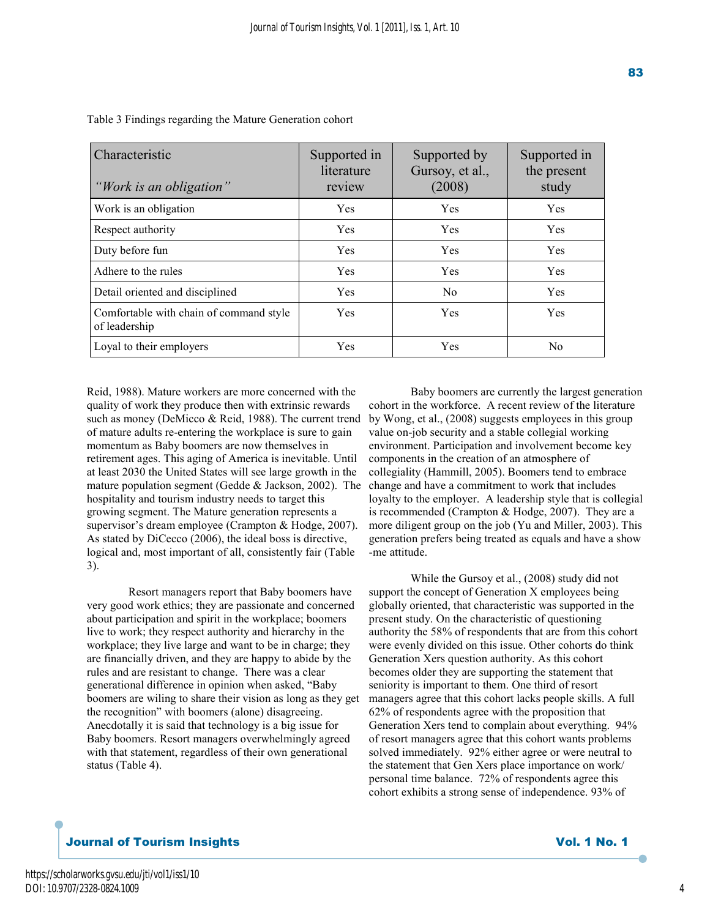| Characteristic<br>"Work is an obligation"                | Supported in<br>literature<br>review | Supported by<br>Gursoy, et al.,<br>(2008) | Supported in<br>the present<br>study |
|----------------------------------------------------------|--------------------------------------|-------------------------------------------|--------------------------------------|
| Work is an obligation                                    | <b>Yes</b>                           | <b>Yes</b>                                | <b>Yes</b>                           |
| Respect authority                                        | Yes                                  | Yes                                       | <b>Yes</b>                           |
| Duty before fun                                          | <b>Yes</b>                           | Yes                                       | <b>Yes</b>                           |
| Adhere to the rules                                      | <b>Yes</b>                           | Yes                                       | Yes                                  |
| Detail oriented and disciplined                          | <b>Yes</b>                           | N <sub>0</sub>                            | Yes                                  |
| Comfortable with chain of command style<br>of leadership | <b>Yes</b>                           | Yes                                       | <b>Yes</b>                           |
| Loyal to their employers                                 | Yes                                  | Yes                                       | No                                   |

Table 3 Findings regarding the Mature Generation cohort

Reid, 1988). Mature workers are more concerned with the quality of work they produce then with extrinsic rewards such as money (DeMicco & Reid, 1988). The current trend of mature adults re-entering the workplace is sure to gain momentum as Baby boomers are now themselves in retirement ages. This aging of America is inevitable. Until at least 2030 the United States will see large growth in the mature population segment (Gedde & Jackson, 2002). The hospitality and tourism industry needs to target this growing segment. The Mature generation represents a supervisor's dream employee (Crampton & Hodge, 2007). As stated by DiCecco (2006), the ideal boss is directive, logical and, most important of all, consistently fair (Table 3).

 Resort managers report that Baby boomers have very good work ethics; they are passionate and concerned about participation and spirit in the workplace; boomers live to work; they respect authority and hierarchy in the workplace; they live large and want to be in charge; they are financially driven, and they are happy to abide by the rules and are resistant to change. There was a clear generational difference in opinion when asked, "Baby boomers are wiling to share their vision as long as they get the recognition" with boomers (alone) disagreeing. Anecdotally it is said that technology is a big issue for Baby boomers. Resort managers overwhelmingly agreed with that statement, regardless of their own generational status (Table 4).

 Baby boomers are currently the largest generation cohort in the workforce. A recent review of the literature by Wong, et al., (2008) suggests employees in this group value on-job security and a stable collegial working environment. Participation and involvement become key components in the creation of an atmosphere of collegiality (Hammill, 2005). Boomers tend to embrace change and have a commitment to work that includes loyalty to the employer. A leadership style that is collegial is recommended (Crampton & Hodge, 2007). They are a more diligent group on the job (Yu and Miller, 2003). This generation prefers being treated as equals and have a show -me attitude.

 While the Gursoy et al., (2008) study did not support the concept of Generation X employees being globally oriented, that characteristic was supported in the present study. On the characteristic of questioning authority the 58% of respondents that are from this cohort were evenly divided on this issue. Other cohorts do think Generation Xers question authority. As this cohort becomes older they are supporting the statement that seniority is important to them. One third of resort managers agree that this cohort lacks people skills. A full 62% of respondents agree with the proposition that Generation Xers tend to complain about everything. 94% of resort managers agree that this cohort wants problems solved immediately. 92% either agree or were neutral to the statement that Gen Xers place importance on work/ personal time balance. 72% of respondents agree this cohort exhibits a strong sense of independence. 93% of

## Journal of Tourism Insight s Vol. 1 No. 1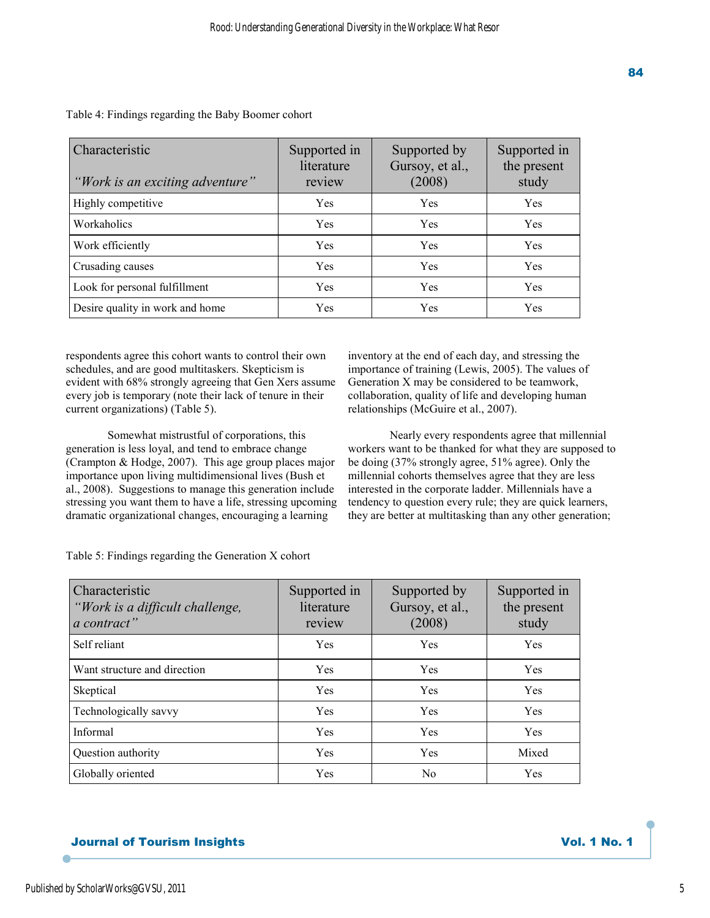| ш<br>$\frac{1}{2}$<br>-<br><b>Contract Contract Contract Contract Contract Contract Contract Contract Contract Contract Contract Contract Co</b><br>i<br>×<br>٠ |  |
|-----------------------------------------------------------------------------------------------------------------------------------------------------------------|--|
|                                                                                                                                                                 |  |

| Characteristic<br>"Work is an exciting adventure" | Supported in<br>literature<br>review | Supported by<br>Gursoy, et al.,<br>(2008) | Supported in<br>the present<br>study |
|---------------------------------------------------|--------------------------------------|-------------------------------------------|--------------------------------------|
| Highly competitive                                | <b>Yes</b>                           | Yes                                       | Yes                                  |
| Workaholics                                       | Yes                                  | Yes                                       | Yes                                  |
| Work efficiently                                  | <b>Yes</b>                           | <b>Yes</b>                                | Yes                                  |
| Crusading causes                                  | Yes                                  | Yes                                       | Yes                                  |
| Look for personal fulfillment                     | Yes                                  | Yes                                       | Yes                                  |
| Desire quality in work and home                   | Yes                                  | Yes                                       | Yes                                  |

Table 4: Findings regarding the Baby Boomer cohort

respondents agree this cohort wants to control their own schedules, and are good multitaskers. Skepticism is evident with 68% strongly agreeing that Gen Xers assume every job is temporary (note their lack of tenure in their current organizations) (Table 5).

inventory at the end of each day, and stressing the importance of training (Lewis, 2005). The values of Generation X may be considered to be teamwork, collaboration, quality of life and developing human relationships (McGuire et al., 2007).

 Somewhat mistrustful of corporations, this generation is less loyal, and tend to embrace change (Crampton & Hodge, 2007). This age group places major importance upon living multidimensional lives (Bush et al., 2008). Suggestions to manage this generation include stressing you want them to have a life, stressing upcoming dramatic organizational changes, encouraging a learning

 Nearly every respondents agree that millennial workers want to be thanked for what they are supposed to be doing (37% strongly agree, 51% agree). Only the millennial cohorts themselves agree that they are less interested in the corporate ladder. Millennials have a tendency to question every rule; they are quick learners, they are better at multitasking than any other generation;

| Characteristic<br>"Work is a difficult challenge,<br>a contract" | Supported in<br>literature<br>review | Supported by<br>Gursoy, et al.,<br>(2008) | Supported in<br>the present<br>study |
|------------------------------------------------------------------|--------------------------------------|-------------------------------------------|--------------------------------------|
| Self reliant                                                     | <b>Yes</b>                           | Yes                                       | <b>Yes</b>                           |
| Want structure and direction                                     | <b>Yes</b>                           | Yes                                       | <b>Yes</b>                           |
| Skeptical                                                        | <b>Yes</b>                           | Yes                                       | <b>Yes</b>                           |
| Technologically savvy                                            | <b>Yes</b>                           | Yes                                       | <b>Yes</b>                           |
| Informal                                                         | <b>Yes</b>                           | Yes                                       | <b>Yes</b>                           |
| Question authority                                               | <b>Yes</b>                           | Yes                                       | Mixed                                |
| Globally oriented                                                | Yes                                  | No                                        | Yes                                  |

Table 5: Findings regarding the Generation X cohort

# **Journal of Tourism Insights Community Service Service Service Service Service Service Service Service Service S**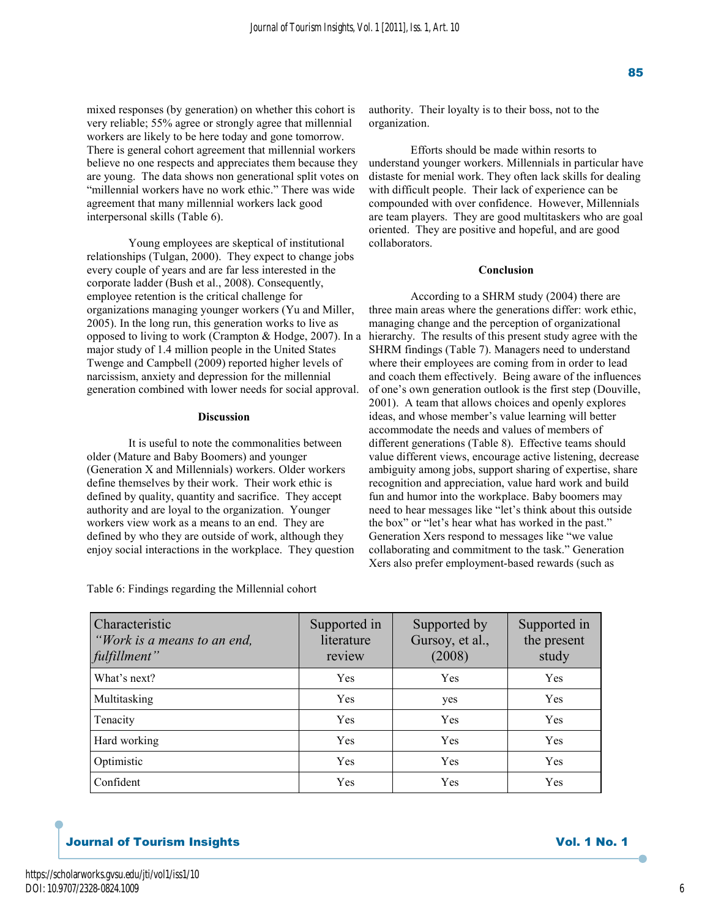mixed responses (by generation) on whether this cohort is very reliable; 55% agree or strongly agree that millennial workers are likely to be here today and gone tomorrow. There is general cohort agreement that millennial workers believe no one respects and appreciates them because they are young. The data shows non generational split votes on "millennial workers have no work ethic." There was wide agreement that many millennial workers lack good interpersonal skills (Table 6).

 Young employees are skeptical of institutional relationships (Tulgan, 2000). They expect to change jobs every couple of years and are far less interested in the corporate ladder (Bush et al., 2008). Consequently, employee retention is the critical challenge for organizations managing younger workers (Yu and Miller, 2005). In the long run, this generation works to live as opposed to living to work (Crampton & Hodge, 2007). In a major study of 1.4 million people in the United States Twenge and Campbell (2009) reported higher levels of narcissism, anxiety and depression for the millennial generation combined with lower needs for social approval.

## **Discussion**

 It is useful to note the commonalities between older (Mature and Baby Boomers) and younger (Generation X and Millennials) workers. Older workers define themselves by their work. Their work ethic is defined by quality, quantity and sacrifice. They accept authority and are loyal to the organization. Younger workers view work as a means to an end. They are defined by who they are outside of work, although they enjoy social interactions in the workplace. They question

Table 6: Findings regarding the Millennial cohort

authority. Their loyalty is to their boss, not to the organization.

 Efforts should be made within resorts to understand younger workers. Millennials in particular have distaste for menial work. They often lack skills for dealing with difficult people. Their lack of experience can be compounded with over confidence. However, Millennials are team players. They are good multitaskers who are goal oriented. They are positive and hopeful, and are good collaborators.

## **Conclusion**

 According to a SHRM study (2004) there are three main areas where the generations differ: work ethic, managing change and the perception of organizational hierarchy. The results of this present study agree with the SHRM findings (Table 7). Managers need to understand where their employees are coming from in order to lead and coach them effectively. Being aware of the influences of one's own generation outlook is the first step (Douville, 2001). A team that allows choices and openly explores ideas, and whose member's value learning will better accommodate the needs and values of members of different generations (Table 8). Effective teams should value different views, encourage active listening, decrease ambiguity among jobs, support sharing of expertise, share recognition and appreciation, value hard work and build fun and humor into the workplace. Baby boomers may need to hear messages like "let's think about this outside the box" or "let's hear what has worked in the past." Generation Xers respond to messages like "we value collaborating and commitment to the task." Generation Xers also prefer employment-based rewards (such as

| Characteristic<br>"Work is a means to an end,<br>fulfillment" | Supported in<br>literature<br>review | Supported by<br>Gursoy, et al.,<br>(2008) | Supported in<br>the present<br>study |
|---------------------------------------------------------------|--------------------------------------|-------------------------------------------|--------------------------------------|
| What's next?                                                  | <b>Yes</b>                           | Yes                                       | Yes                                  |
| Multitasking                                                  | Yes                                  | yes                                       | Yes                                  |
| Tenacity                                                      | Yes                                  | Yes                                       | Yes                                  |
| Hard working                                                  | Yes                                  | Yes                                       | <b>Yes</b>                           |
| Optimistic                                                    | Yes                                  | Yes                                       | Yes                                  |
| Confident                                                     | Yes                                  | Yes                                       | Yes                                  |

## **Journal of Tourism Insights State State State State State State State State State State State State State State State State State State State State State State State State State State State State State State State State S**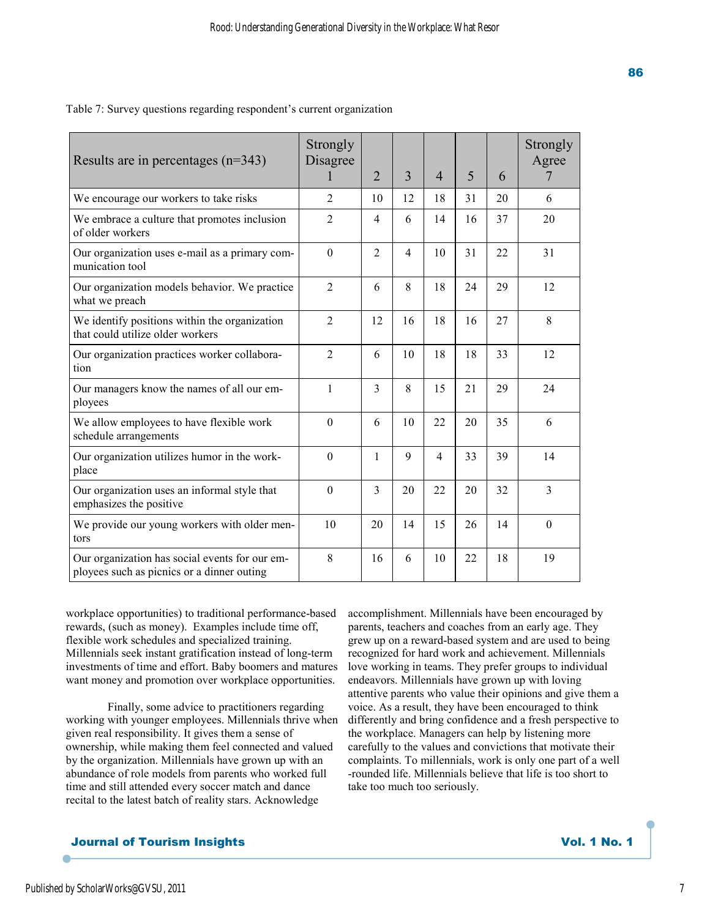| Results are in percentages $(n=343)$                                                         | Strongly<br>Disagree | 2                        | 3              | $\overline{4}$ | 5  | 6  | Strongly<br>Agree<br>7 |
|----------------------------------------------------------------------------------------------|----------------------|--------------------------|----------------|----------------|----|----|------------------------|
| We encourage our workers to take risks                                                       | $\overline{2}$       | 10                       | 12             | 18             | 31 | 20 | 6                      |
| We embrace a culture that promotes inclusion<br>of older workers                             | 2                    | 4                        | 6              | 14             | 16 | 37 | 20                     |
| Our organization uses e-mail as a primary com-<br>munication tool                            | $\boldsymbol{0}$     | $\overline{2}$           | $\overline{4}$ | 10             | 31 | 22 | 31                     |
| Our organization models behavior. We practice<br>what we preach                              | $\overline{2}$       | 6                        | 8              | 18             | 24 | 29 | 12                     |
| We identify positions within the organization<br>that could utilize older workers            | $\overline{2}$       | 12                       | 16             | 18             | 16 | 27 | 8                      |
| Our organization practices worker collabora-<br>tion                                         | $\overline{2}$       | 6                        | 10             | 18             | 18 | 33 | 12                     |
| Our managers know the names of all our em-<br>ployees                                        | $\mathbf{1}$         | $\overline{3}$           | 8              | 15             | 21 | 29 | 24                     |
| We allow employees to have flexible work<br>schedule arrangements                            | $\mathbf{0}$         | 6                        | 10             | 22             | 20 | 35 | 6                      |
| Our organization utilizes humor in the work-<br>place                                        | $\theta$             | 1                        | 9              | $\overline{4}$ | 33 | 39 | 14                     |
| Our organization uses an informal style that<br>emphasizes the positive                      | $\theta$             | $\overline{\mathcal{E}}$ | 20             | 22             | 20 | 32 | 3                      |
| We provide our young workers with older men-<br>tors                                         | 10                   | 20                       | 14             | 15             | 26 | 14 | $\Omega$               |
| Our organization has social events for our em-<br>ployees such as picnics or a dinner outing | 8                    | 16                       | 6              | 10             | 22 | 18 | 19                     |

Table 7: Survey questions regarding respondent's current organization

workplace opportunities) to traditional performance-based rewards, (such as money). Examples include time off, flexible work schedules and specialized training. Millennials seek instant gratification instead of long-term investments of time and effort. Baby boomers and matures want money and promotion over workplace opportunities.

 Finally, some advice to practitioners regarding working with younger employees. Millennials thrive when given real responsibility. It gives them a sense of ownership, while making them feel connected and valued by the organization. Millennials have grown up with an abundance of role models from parents who worked full time and still attended every soccer match and dance recital to the latest batch of reality stars. Acknowledge

accomplishment. Millennials have been encouraged by parents, teachers and coaches from an early age. They grew up on a reward-based system and are used to being recognized for hard work and achievement. Millennials love working in teams. They prefer groups to individual endeavors. Millennials have grown up with loving attentive parents who value their opinions and give them a voice. As a result, they have been encouraged to think differently and bring confidence and a fresh perspective to the workplace. Managers can help by listening more carefully to the values and convictions that motivate their complaints. To millennials, work is only one part of a well -rounded life. Millennials believe that life is too short to take too much too seriously.

## **Journal of Tourism Insights Community Service Service Service Service Service Service Service Service Service S**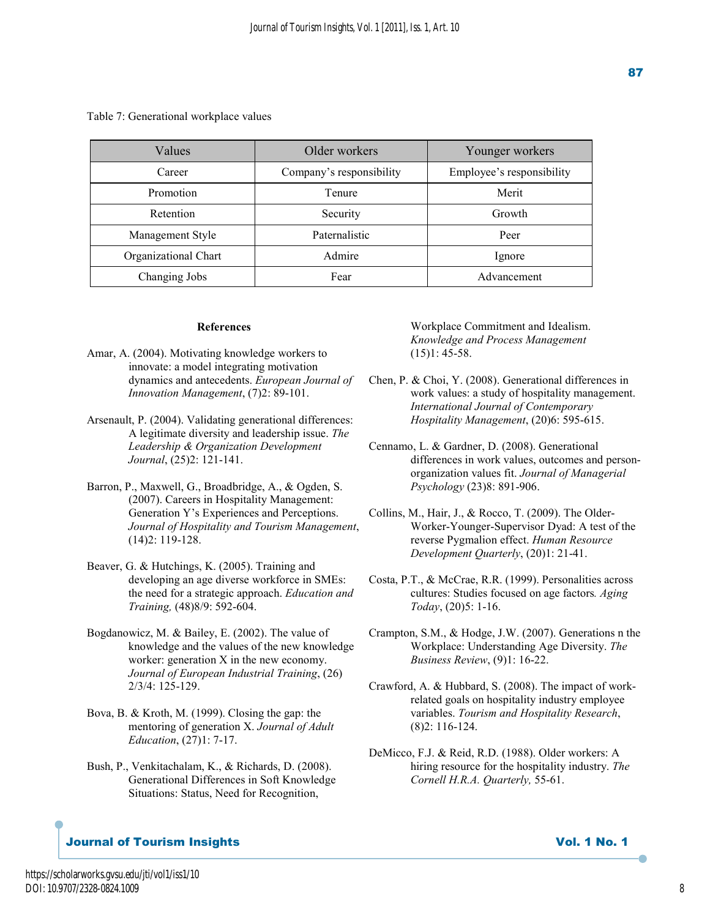Table 7: Generational workplace values

| Values               | Older workers            | Younger workers           |
|----------------------|--------------------------|---------------------------|
| Career               | Company's responsibility | Employee's responsibility |
| Promotion            | Tenure                   | Merit                     |
| Retention            | Security                 | Growth                    |
| Management Style     | Paternalistic            | Peer                      |
| Organizational Chart | Admire                   | Ignore                    |
| Changing Jobs        | Fear                     | Advancement               |

#### **References**

- Amar, A. (2004). Motivating knowledge workers to innovate: a model integrating motivation dynamics and antecedents. *European Journal of Innovation Management*, (7)2: 89-101.
- Arsenault, P. (2004). Validating generational differences: A legitimate diversity and leadership issue. *The Leadership & Organization Development Journal*, (25)2: 121-141.
- Barron, P., Maxwell, G., Broadbridge, A., & Ogden, S. (2007). Careers in Hospitality Management: Generation Y's Experiences and Perceptions. *Journal of Hospitality and Tourism Management*, (14)2: 119-128.
- Beaver, G. & Hutchings, K. (2005). Training and developing an age diverse workforce in SMEs: the need for a strategic approach. *Education and Training,* (48)8/9: 592-604.
- Bogdanowicz, M. & Bailey, E. (2002). The value of knowledge and the values of the new knowledge worker: generation X in the new economy. *Journal of European Industrial Training*, (26) 2/3/4: 125-129.
- Bova, B. & Kroth, M. (1999). Closing the gap: the mentoring of generation X. *Journal of Adult Education*, (27)1: 7-17.
- Bush, P., Venkitachalam, K., & Richards, D. (2008). Generational Differences in Soft Knowledge Situations: Status, Need for Recognition,

## Workplace Commitment and Idealism. *Knowledge and Process Management*  $(15)1: 45-58.$

- Chen, P. & Choi, Y. (2008). Generational differences in work values: a study of hospitality management. *International Journal of Contemporary Hospitality Management*, (20)6: 595-615.
- Cennamo, L. & Gardner, D. (2008). Generational differences in work values, outcomes and person organization values fit. *Journal of Managerial Psychology* (23)8: 891-906.
- Collins, M., Hair, J., & Rocco, T. (2009). The Older- Worker-Younger-Supervisor Dyad: A test of the reverse Pygmalion effect. *Human Resource Development Quarterly*, (20)1: 21-41.
- Costa, P.T., & McCrae, R.R. (1999). Personalities across cultures: Studies focused on age factors*. Aging Today*, (20)5: 1-16.
- Crampton, S.M., & Hodge, J.W. (2007). Generations n the Workplace: Understanding Age Diversity. *The Business Review*, (9)1: 16-22.
- Crawford, A. & Hubbard, S. (2008). The impact of work related goals on hospitality industry employee variables. *Tourism and Hospitality Research*, (8)2: 116-124.
- DeMicco, F.J. & Reid, R.D. (1988). Older workers: A hiring resource for the hospitality industry. *The Cornell H.R.A. Quarterly,* 55-61.

## **Journal of Tourism Insights Contract Service Service Service Service Service Service Service Service Service Service Service Service Service Service Service Service Service Service Service Service Service Service Service**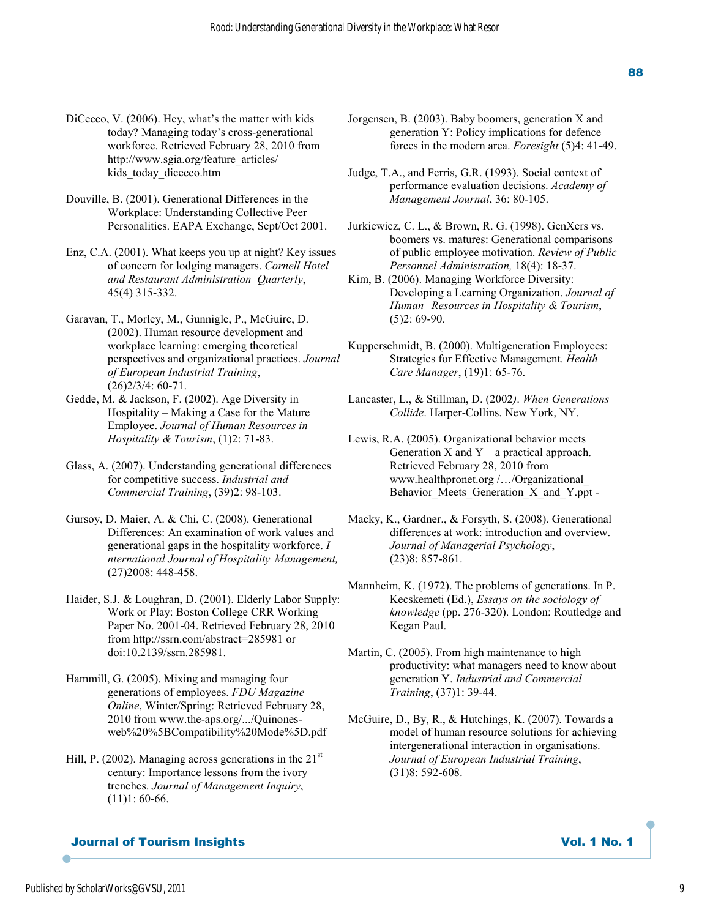- DiCecco, V. (2006). Hey, what's the matter with kids today? Managing today's cross-generational workforce. Retrieved February 28, 2010 from http://www.sgia.org/feature\_articles/ kids today dicecco.htm
- Douville, B. (2001). Generational Differences in the Workplace: Understanding Collective Peer Personalities. EAPA Exchange, Sept/Oct 2001.
- Enz, C.A. (2001). What keeps you up at night? Key issues of concern for lodging managers. *Cornell Hotel and Restaurant Administration Quarterly*, 45(4) 315-332.
- Garavan, T., Morley, M., Gunnigle, P., McGuire, D. (2002). Human resource development and workplace learning: emerging theoretical perspectives and organizational practices. *Journal of European Industrial Training*,  $(26)2/3/4:60-71$ .
- Gedde, M. & Jackson, F. (2002). Age Diversity in Hospitality – Making a Case for the Mature Employee. *Journal of Human Resources in Hospitality & Tourism*, (1)2: 71-83.
- Glass, A. (2007). Understanding generational differences for competitive success. *Industrial and Commercial Training*, (39)2: 98-103.
- Gursoy, D. Maier, A. & Chi, C. (2008). Generational Differences: An examination of work values and generational gaps in the hospitality workforce. *I nternational Journal of Hospitality Management,*  (27)2008: 448-458.
- Haider, S.J. & Loughran, D. (2001). Elderly Labor Supply: Work or Play: Boston College CRR Working Paper No. 2001-04. Retrieved February 28, 2010 from http://ssrn.com/abstract=285981 or doi:10.2139/ssrn.285981.
- Hammill, G. (2005). Mixing and managing four generations of employees. *FDU Magazine Online*, Winter/Spring: Retrieved February 28, 2010 from www.the-aps.org/.../Quinones web%20%5BCompatibility%20Mode%5D.pdf
- Hill, P. (2002). Managing across generations in the  $21<sup>st</sup>$  century: Importance lessons from the ivory trenches. *Journal of Management Inquiry*,  $(11)1: 60-66.$
- Jorgensen, B. (2003). Baby boomers, generation X and generation Y: Policy implications for defence forces in the modern area. *Foresight* (5)4: 41-49.
- Judge, T.A., and Ferris, G.R. (1993). Social context of performance evaluation decisions. *Academy of Management Journal*, 36: 80-105.
- Jurkiewicz, C. L., & Brown, R. G. (1998). GenXers vs. boomers vs. matures: Generational comparisons of public employee motivation. *Review of Public Personnel Administration,* 18(4): 18-37.
- Kim, B. (2006). Managing Workforce Diversity: Developing a Learning Organization. *Journal of Human Resources in Hospitality & Tourism*, (5)2: 69-90.
- Kupperschmidt, B. (2000). Multigeneration Employees: Strategies for Effective Management*. Health Care Manager*, (19)1: 65-76.
- Lancaster, L., & Stillman, D. (2002*)*. *When Generations Collide*. Harper-Collins. New York, NY.
- Lewis, R.A. (2005). Organizational behavior meets Generation  $X$  and  $Y - a$  practical approach. Retrieved February 28, 2010 from www.healthpronet.org /…/Organizational\_ Behavior\_Meets\_Generation\_X\_and\_Y.ppt -
- Macky, K., Gardner., & Forsyth, S. (2008). Generational differences at work: introduction and overview. *Journal of Managerial Psychology*, (23)8: 857-861.
- Mannheim, K. (1972). The problems of generations. In P. Kecskemeti (Ed.), *Essays on the sociology of knowledge* (pp. 276-320). London: Routledge and Kegan Paul.
- Martin, C. (2005). From high maintenance to high productivity: what managers need to know about generation Y. *Industrial and Commercial Training*, (37)1: 39-44.
- McGuire, D., By, R., & Hutchings, K. (2007). Towards a model of human resource solutions for achieving intergenerational interaction in organisations. *Journal of European Industrial Training*, (31)8: 592-608.

## **Journal of Tourism Insights Community State Service State State State State State State State State State State State State State State State State State State State State State State State State State State State State S**